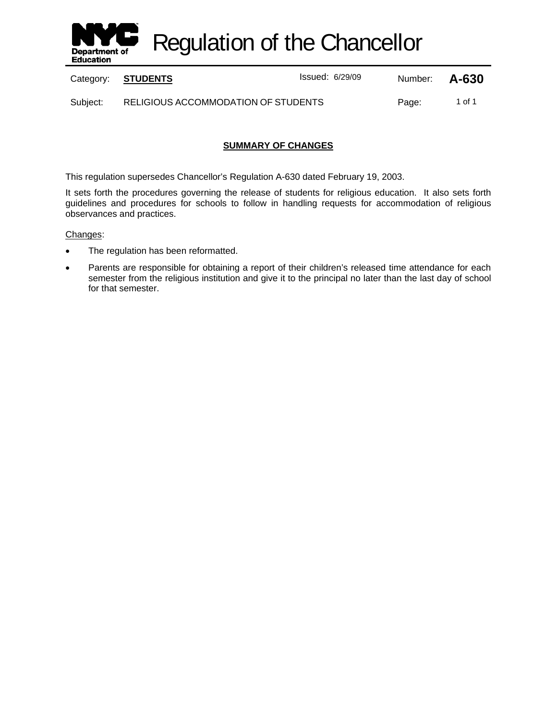

Regulation of the Chancellor

Category: **STUDENTS ISSUE 2018** Issued: 6/29/09 Number: **A-630** 

Subject: RELIGIOUS ACCOMMODATION OF STUDENTS Page: 1 of 1

## **SUMMARY OF CHANGES**

This regulation supersedes Chancellor's Regulation A-630 dated February 19, 2003.

It sets forth the procedures governing the release of students for religious education. It also sets forth guidelines and procedures for schools to follow in handling requests for accommodation of religious observances and practices.

#### Changes:

- The regulation has been reformatted.
- Parents are responsible for obtaining a report of their children's released time attendance for each semester from the religious institution and give it to the principal no later than the last day of school for that semester.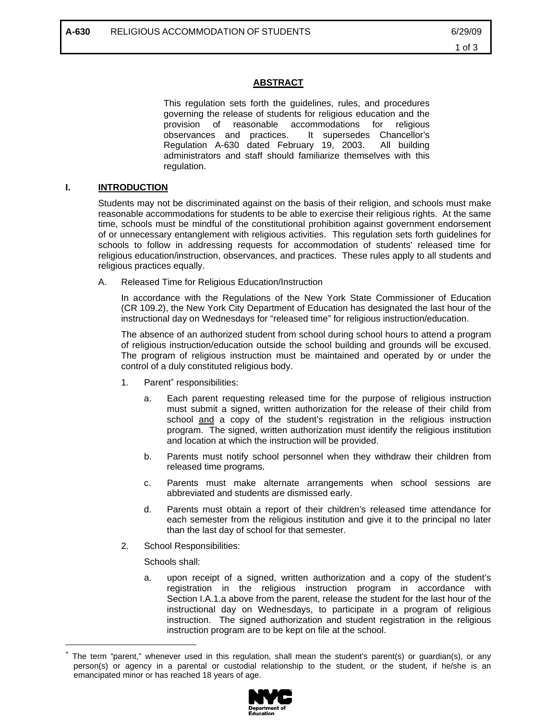## **ABSTRACT**

This regulation sets forth the guidelines, rules, and procedures governing the release of students for religious education and the provision of reasonable accommodations for religious observances and practices. It supersedes Chancellor's Regulation A-630 dated February 19, 2003. All building administrators and staff should familiarize themselves with this regulation.

# **I. INTRODUCTION**

Students may not be discriminated against on the basis of their religion, and schools must make reasonable accommodations for students to be able to exercise their religious rights. At the same time, schools must be mindful of the constitutional prohibition against government endorsement of or unnecessary entanglement with religious activities. This regulation sets forth guidelines for schools to follow in addressing requests for accommodation of students' released time for religious education/instruction, observances, and practices. These rules apply to all students and religious practices equally.

A. Released Time for Religious Education/Instruction

In accordance with the Regulations of the New York State Commissioner of Education (CR 109.2), the New York City Department of Education has designated the last hour of the instructional day on Wednesdays for "released time" for religious instruction/education.

The absence of an authorized student from school during school hours to attend a program of religious instruction/education outside the school building and grounds will be excused. The program of religious instruction must be maintained and operated by or under the control of a duly constituted religious body.

- 1. Parent<sup>\*</sup> responsibilities:
	- a. Each parent requesting released time for the purpose of religious instruction must submit a signed, written authorization for the release of their child from school and a copy of the student's registration in the religious instruction program. The signed, written authorization must identify the religious institution and location at which the instruction will be provided.
	- b. Parents must notify school personnel when they withdraw their children from released time programs.
	- c. Parents must make alternate arrangements when school sessions are abbreviated and students are dismissed early.
	- d. Parents must obtain a report of their children's released time attendance for each semester from the religious institution and give it to the principal no later than the last day of school for that semester.
- 2. School Responsibilities:

Schools shall:

 $\overline{a}$ 

a. upon receipt of a signed, written authorization and a copy of the student's registration in the religious instruction program in accordance with Section I.A.1.a above from the parent, release the student for the last hour of the instructional day on Wednesdays, to participate in a program of religious instruction. The signed authorization and student registration in the religious instruction program are to be kept on file at the school.

The term "parent," whenever used in this regulation, shall mean the student's parent(s) or quardian(s), or any person(s) or agency in a parental or custodial relationship to the student, or the student, if he/she is an emancipated minor or has reached 18 years of age.

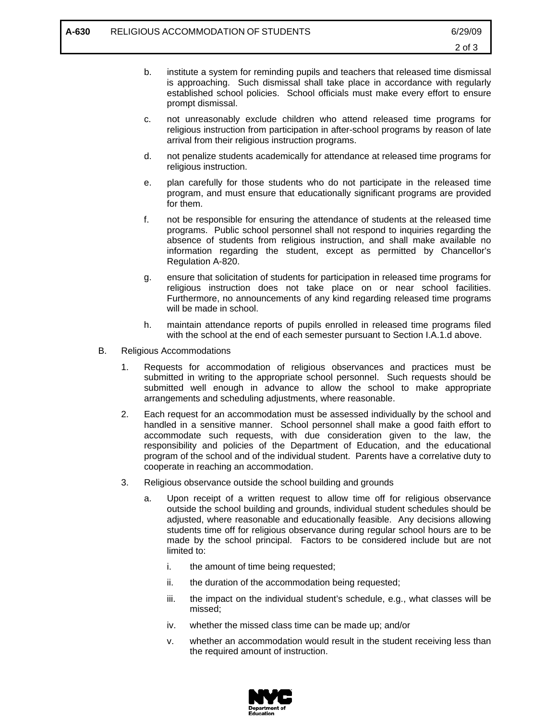- b. institute a system for reminding pupils and teachers that released time dismissal is approaching. Such dismissal shall take place in accordance with regularly established school policies. School officials must make every effort to ensure prompt dismissal.
- c. not unreasonably exclude children who attend released time programs for religious instruction from participation in after-school programs by reason of late arrival from their religious instruction programs.
- d. not penalize students academically for attendance at released time programs for religious instruction.
- e. plan carefully for those students who do not participate in the released time program, and must ensure that educationally significant programs are provided for them.
- f. not be responsible for ensuring the attendance of students at the released time programs. Public school personnel shall not respond to inquiries regarding the absence of students from religious instruction, and shall make available no information regarding the student, except as permitted by Chancellor's Regulation A-820.
- g. ensure that solicitation of students for participation in released time programs for religious instruction does not take place on or near school facilities. Furthermore, no announcements of any kind regarding released time programs will be made in school.
- h. maintain attendance reports of pupils enrolled in released time programs filed with the school at the end of each semester pursuant to Section I.A.1.d above.
- B. Religious Accommodations
	- 1. Requests for accommodation of religious observances and practices must be submitted in writing to the appropriate school personnel. Such requests should be submitted well enough in advance to allow the school to make appropriate arrangements and scheduling adjustments, where reasonable.
	- 2. Each request for an accommodation must be assessed individually by the school and handled in a sensitive manner. School personnel shall make a good faith effort to accommodate such requests, with due consideration given to the law, the responsibility and policies of the Department of Education, and the educational program of the school and of the individual student. Parents have a correlative duty to cooperate in reaching an accommodation.
	- 3. Religious observance outside the school building and grounds
		- a. Upon receipt of a written request to allow time off for religious observance outside the school building and grounds, individual student schedules should be adjusted, where reasonable and educationally feasible. Any decisions allowing students time off for religious observance during regular school hours are to be made by the school principal. Factors to be considered include but are not limited to:
			- i. the amount of time being requested;
			- ii. the duration of the accommodation being requested;
			- iii. the impact on the individual student's schedule, e.g., what classes will be missed;
			- iv. whether the missed class time can be made up; and/or
			- v. whether an accommodation would result in the student receiving less than the required amount of instruction.